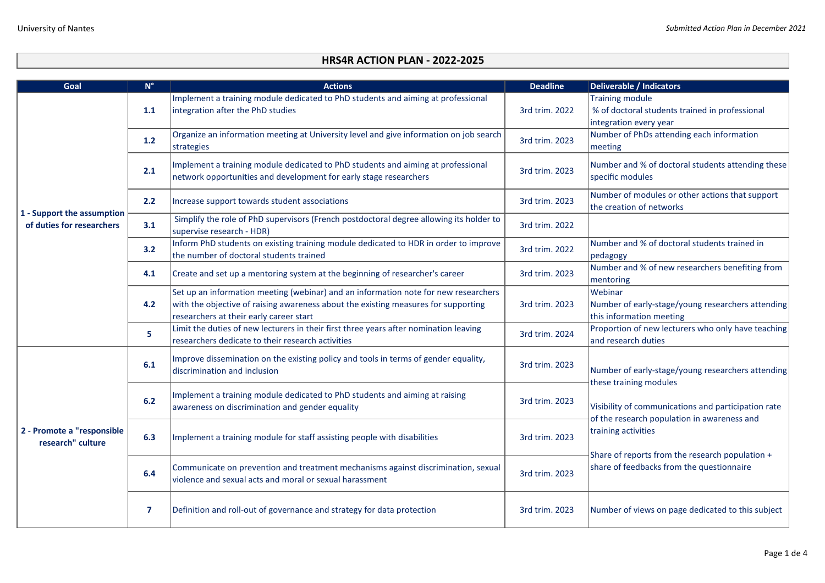| Goal                                                    | $N^{\circ}$    | <b>Actions</b>                                                                                                                                                                                                       | <b>Deadline</b> | <b>Deliverable / Indicators</b>                                                                                                                                                                          |
|---------------------------------------------------------|----------------|----------------------------------------------------------------------------------------------------------------------------------------------------------------------------------------------------------------------|-----------------|----------------------------------------------------------------------------------------------------------------------------------------------------------------------------------------------------------|
| 1 - Support the assumption<br>of duties for researchers | 1.1            | Implement a training module dedicated to PhD students and aiming at professional<br>integration after the PhD studies                                                                                                | 3rd trim. 2022  | <b>Training module</b><br>% of doctoral students trained in professional<br>integration every year                                                                                                       |
|                                                         | 1.2            | Organize an information meeting at University level and give information on job search<br>strategies                                                                                                                 | 3rd trim. 2023  | Number of PhDs attending each information<br>meeting                                                                                                                                                     |
|                                                         | 2.1            | Implement a training module dedicated to PhD students and aiming at professional<br>network opportunities and development for early stage researchers                                                                | 3rd trim. 2023  | Number and % of doctoral students attending these<br>specific modules                                                                                                                                    |
|                                                         | 2.2            | Increase support towards student associations                                                                                                                                                                        | 3rd trim. 2023  | Number of modules or other actions that support<br>the creation of networks                                                                                                                              |
|                                                         | 3.1            | Simplify the role of PhD supervisors (French postdoctoral degree allowing its holder to<br>supervise research - HDR)                                                                                                 | 3rd trim. 2022  |                                                                                                                                                                                                          |
|                                                         | 3.2            | Inform PhD students on existing training module dedicated to HDR in order to improve<br>the number of doctoral students trained                                                                                      | 3rd trim. 2022  | Number and % of doctoral students trained in<br>pedagogy                                                                                                                                                 |
|                                                         | 4.1            | Create and set up a mentoring system at the beginning of researcher's career                                                                                                                                         | 3rd trim. 2023  | Number and % of new researchers benefiting from<br>mentoring                                                                                                                                             |
|                                                         | 4.2            | Set up an information meeting (webinar) and an information note for new researchers<br>with the objective of raising awareness about the existing measures for supporting<br>researchers at their early career start | 3rd trim. 2023  | Webinar<br>Number of early-stage/young researchers attending<br>this information meeting                                                                                                                 |
|                                                         | 5.             | Limit the duties of new lecturers in their first three years after nomination leaving<br>researchers dedicate to their research activities                                                                           | 3rd trim. 2024  | Proportion of new lecturers who only have teaching<br>and research duties                                                                                                                                |
| 2 - Promote a "responsible<br>research" culture         | 6.1            | Improve dissemination on the existing policy and tools in terms of gender equality,<br>discrimination and inclusion                                                                                                  | 3rd trim. 2023  | Number of early-stage/young researchers attending<br>these training modules<br>Visibility of communications and participation rate<br>of the research population in awareness and<br>training activities |
|                                                         | 6.2            | Implement a training module dedicated to PhD students and aiming at raising<br>awareness on discrimination and gender equality                                                                                       | 3rd trim. 2023  |                                                                                                                                                                                                          |
|                                                         | 6.3            | Implement a training module for staff assisting people with disabilities                                                                                                                                             | 3rd trim. 2023  |                                                                                                                                                                                                          |
|                                                         | 6.4            | Communicate on prevention and treatment mechanisms against discrimination, sexual<br>violence and sexual acts and moral or sexual harassment                                                                         | 3rd trim. 2023  | Share of reports from the research population +<br>share of feedbacks from the questionnaire                                                                                                             |
|                                                         | $\overline{7}$ | Definition and roll-out of governance and strategy for data protection                                                                                                                                               | 3rd trim. 2023  | Number of views on page dedicated to this subject                                                                                                                                                        |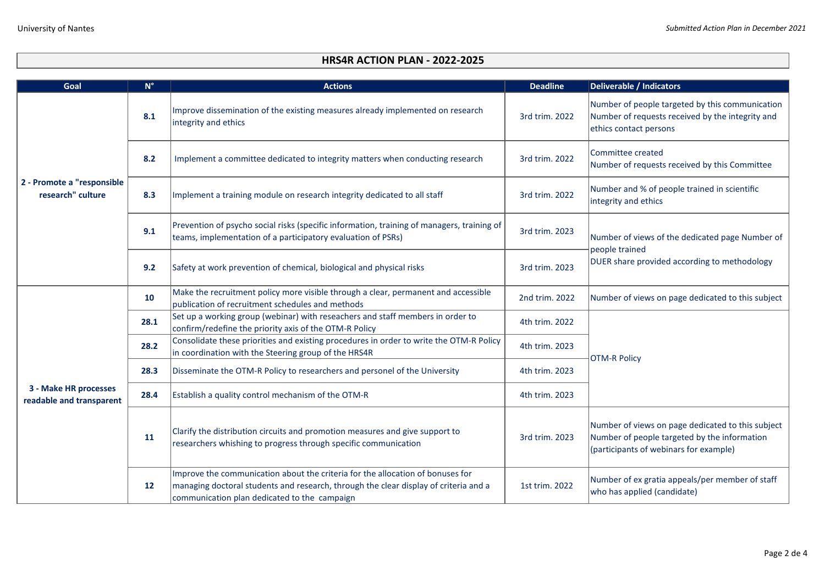| Goal                                              | $\mathbf{N}^\circ$ | <b>Actions</b>                                                                                                                                                                                                         | <b>Deadline</b> | <b>Deliverable / Indicators</b>                                                                                                             |
|---------------------------------------------------|--------------------|------------------------------------------------------------------------------------------------------------------------------------------------------------------------------------------------------------------------|-----------------|---------------------------------------------------------------------------------------------------------------------------------------------|
| 2 - Promote a "responsible<br>research" culture   | 8.1                | Improve dissemination of the existing measures already implemented on research<br>integrity and ethics                                                                                                                 | 3rd trim. 2022  | Number of people targeted by this communication<br>Number of requests received by the integrity and<br>ethics contact persons               |
|                                                   | 8.2                | Implement a committee dedicated to integrity matters when conducting research                                                                                                                                          | 3rd trim. 2022  | Committee created<br>Number of requests received by this Committee                                                                          |
|                                                   | 8.3                | Implement a training module on research integrity dedicated to all staff                                                                                                                                               | 3rd trim. 2022  | Number and % of people trained in scientific<br>integrity and ethics                                                                        |
|                                                   | 9.1                | Prevention of psycho social risks (specific information, training of managers, training of<br>teams, implementation of a participatory evaluation of PSRs)                                                             | 3rd trim. 2023  | Number of views of the dedicated page Number of<br>people trained<br>DUER share provided according to methodology                           |
|                                                   | 9.2                | Safety at work prevention of chemical, biological and physical risks                                                                                                                                                   | 3rd trim. 2023  |                                                                                                                                             |
| 3 - Make HR processes<br>readable and transparent | 10                 | Make the recruitment policy more visible through a clear, permanent and accessible<br>publication of recruitment schedules and methods                                                                                 | 2nd trim. 2022  | Number of views on page dedicated to this subject                                                                                           |
|                                                   | 28.1               | Set up a working group (webinar) with reseachers and staff members in order to<br>confirm/redefine the priority axis of the OTM-R Policy                                                                               | 4th trim. 2022  | <b>OTM-R Policy</b>                                                                                                                         |
|                                                   | 28.2               | Consolidate these priorities and existing procedures in order to write the OTM-R Policy<br>in coordination with the Steering group of the HRS4R                                                                        | 4th trim. 2023  |                                                                                                                                             |
|                                                   | 28.3               | Disseminate the OTM-R Policy to researchers and personel of the University                                                                                                                                             | 4th trim. 2023  |                                                                                                                                             |
|                                                   | 28.4               | Establish a quality control mechanism of the OTM-R                                                                                                                                                                     | 4th trim. 2023  |                                                                                                                                             |
|                                                   | 11                 | Clarify the distribution circuits and promotion measures and give support to<br>researchers whishing to progress through specific communication                                                                        | 3rd trim. 2023  | Number of views on page dedicated to this subject<br>Number of people targeted by the information<br>(participants of webinars for example) |
|                                                   | 12                 | Improve the communication about the criteria for the allocation of bonuses for<br>managing doctoral students and research, through the clear display of criteria and a<br>communication plan dedicated to the campaign | 1st trim. 2022  | Number of ex gratia appeals/per member of staff<br>who has applied (candidate)                                                              |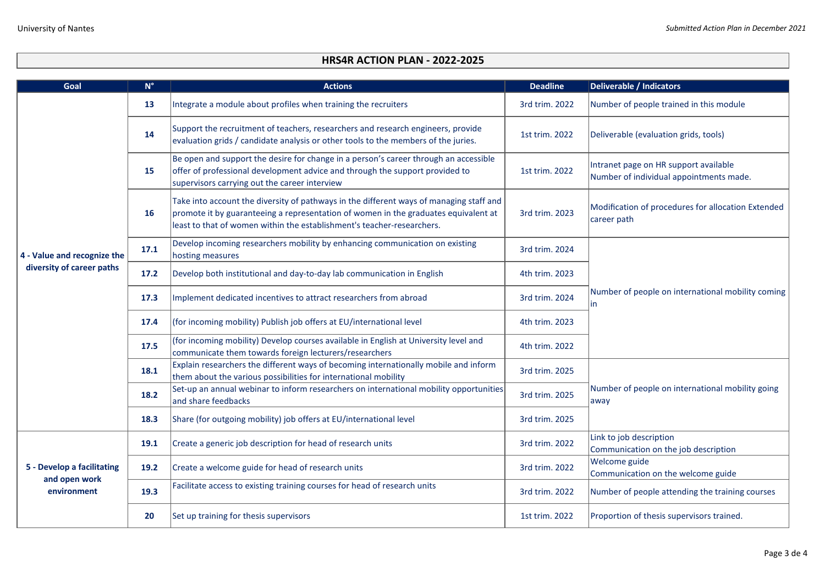| Goal                                                       | $N^{\circ}$ | <b>Actions</b>                                                                                                                                                                                                                                           | <b>Deadline</b> | <b>Deliverable / Indicators</b>                                                  |
|------------------------------------------------------------|-------------|----------------------------------------------------------------------------------------------------------------------------------------------------------------------------------------------------------------------------------------------------------|-----------------|----------------------------------------------------------------------------------|
| 4 - Value and recognize the<br>diversity of career paths   | 13          | Integrate a module about profiles when training the recruiters                                                                                                                                                                                           | 3rd trim. 2022  | Number of people trained in this module                                          |
|                                                            | 14          | Support the recruitment of teachers, researchers and research engineers, provide<br>evaluation grids / candidate analysis or other tools to the members of the juries.                                                                                   | 1st trim. 2022  | Deliverable (evaluation grids, tools)                                            |
|                                                            | 15          | Be open and support the desire for change in a person's career through an accessible<br>offer of professional development advice and through the support provided to<br>supervisors carrying out the career interview                                    | 1st trim. 2022  | Intranet page on HR support available<br>Number of individual appointments made. |
|                                                            | 16          | Take into account the diversity of pathways in the different ways of managing staff and<br>promote it by guaranteeing a representation of women in the graduates equivalent at<br>least to that of women within the establishment's teacher-researchers. | 3rd trim. 2023  | Modification of procedures for allocation Extended<br>career path                |
|                                                            | 17.1        | Develop incoming researchers mobility by enhancing communication on existing<br>hosting measures                                                                                                                                                         | 3rd trim. 2024  |                                                                                  |
|                                                            | 17.2        | Develop both institutional and day-to-day lab communication in English                                                                                                                                                                                   | 4th trim. 2023  | Number of people on international mobility coming<br>lin                         |
|                                                            | 17.3        | Implement dedicated incentives to attract researchers from abroad                                                                                                                                                                                        | 3rd trim. 2024  |                                                                                  |
|                                                            | 17.4        | (for incoming mobility) Publish job offers at EU/international level                                                                                                                                                                                     | 4th trim. 2023  |                                                                                  |
|                                                            | 17.5        | (for incoming mobility) Develop courses available in English at University level and<br>communicate them towards foreign lecturers/researchers                                                                                                           | 4th trim. 2022  |                                                                                  |
|                                                            | 18.1        | Explain researchers the different ways of becoming internationally mobile and inform<br>them about the various possibilities for international mobility                                                                                                  | 3rd trim. 2025  |                                                                                  |
|                                                            | 18.2        | Set-up an annual webinar to inform researchers on international mobility opportunities<br>and share feedbacks                                                                                                                                            | 3rd trim. 2025  | Number of people on international mobility going<br>away                         |
|                                                            | 18.3        | Share (for outgoing mobility) job offers at EU/international level                                                                                                                                                                                       | 3rd trim. 2025  |                                                                                  |
| 5 - Develop a facilitating<br>and open work<br>environment | 19.1        | Create a generic job description for head of research units                                                                                                                                                                                              | 3rd trim. 2022  | Link to job description<br>Communication on the job description                  |
|                                                            | 19.2        | Create a welcome guide for head of research units                                                                                                                                                                                                        | 3rd trim. 2022  | <b>Welcome guide</b><br>Communication on the welcome guide                       |
|                                                            | 19.3        | Facilitate access to existing training courses for head of research units                                                                                                                                                                                | 3rd trim. 2022  | Number of people attending the training courses                                  |
|                                                            | 20          | Set up training for thesis supervisors                                                                                                                                                                                                                   | 1st trim. 2022  | Proportion of thesis supervisors trained.                                        |